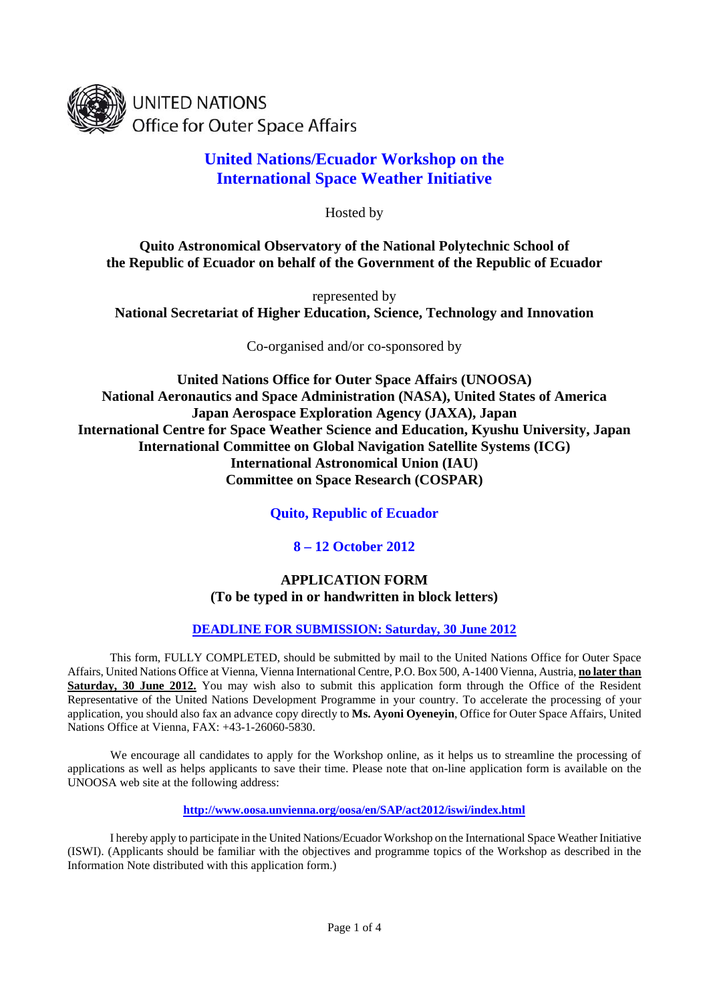

**UNITED NATIONS Office for Outer Space Affairs** 

# **United Nations/Ecuador Workshop on the International Space Weather Initiative**

Hosted by

**Quito Astronomical Observatory of the National Polytechnic School of the Republic of Ecuador on behalf of the Government of the Republic of Ecuador** 

represented by **National Secretariat of Higher Education, Science, Technology and Innovation** 

Co-organised and/or co-sponsored by

**United Nations Office for Outer Space Affairs (UNOOSA) National Aeronautics and Space Administration (NASA), United States of America Japan Aerospace Exploration Agency (JAXA), Japan International Centre for Space Weather Science and Education, Kyushu University, Japan International Committee on Global Navigation Satellite Systems (ICG) International Astronomical Union (IAU) Committee on Space Research (COSPAR)** 

**Quito, Republic of Ecuador** 

**8 – 12 October 2012** 

## **APPLICATION FORM (To be typed in or handwritten in block letters)**

## **DEADLINE FOR SUBMISSION: Saturday, 30 June 2012**

This form, FULLY COMPLETED, should be submitted by mail to the United Nations Office for Outer Space Affairs, United Nations Office at Vienna, Vienna International Centre, P.O. Box 500, A-1400 Vienna, Austria, **no later than Saturday, 30 June 2012.** You may wish also to submit this application form through the Office of the Resident Representative of the United Nations Development Programme in your country. To accelerate the processing of your application, you should also fax an advance copy directly to **Ms. Ayoni Oyeneyin**, Office for Outer Space Affairs, United Nations Office at Vienna, FAX: +43-1-26060-5830.

 We encourage all candidates to apply for the Workshop online, as it helps us to streamline the processing of applications as well as helps applicants to save their time. Please note that on-line application form is available on the UNOOSA web site at the following address:

**http://www.oosa.unvienna.org/oosa/en/SAP/act2012/iswi/index.html**

I hereby apply to participate in the United Nations/Ecuador Workshop on the International Space Weather Initiative (ISWI). (Applicants should be familiar with the objectives and programme topics of the Workshop as described in the Information Note distributed with this application form.)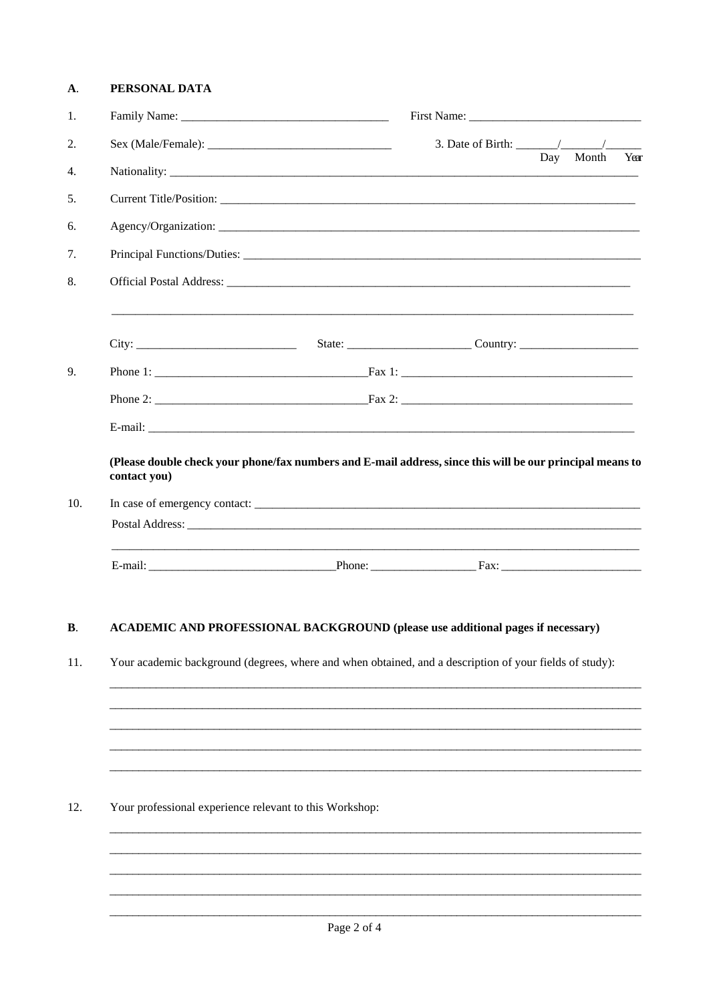#### A. PERSONAL DATA

| 1.  |                                                                                                                           |                                        |     |       |      |
|-----|---------------------------------------------------------------------------------------------------------------------------|----------------------------------------|-----|-------|------|
| 2.  |                                                                                                                           | 3. Date of Birth: $\frac{\sqrt{2}}{2}$ |     |       |      |
| 4.  |                                                                                                                           |                                        | Day | Month | Year |
| 5.  |                                                                                                                           |                                        |     |       |      |
| 6.  |                                                                                                                           |                                        |     |       |      |
| 7.  |                                                                                                                           |                                        |     |       |      |
| 8.  |                                                                                                                           |                                        |     |       |      |
|     |                                                                                                                           |                                        |     |       |      |
| 9.  |                                                                                                                           |                                        |     |       |      |
|     |                                                                                                                           |                                        |     |       |      |
|     |                                                                                                                           |                                        |     |       |      |
|     | (Please double check your phone/fax numbers and E-mail address, since this will be our principal means to<br>contact you) |                                        |     |       |      |
| 10. | In case of emergency contact:                                                                                             |                                        |     |       |      |
|     |                                                                                                                           |                                        |     |       |      |
|     |                                                                                                                           |                                        |     |       |      |
|     |                                                                                                                           |                                        |     |       |      |

#### ACADEMIC AND PROFESSIONAL BACKGROUND (please use additional pages if necessary)  $\mathbf{B}$ .

11. Your academic background (degrees, where and when obtained, and a description of your fields of study):

12. Your professional experience relevant to this Workshop: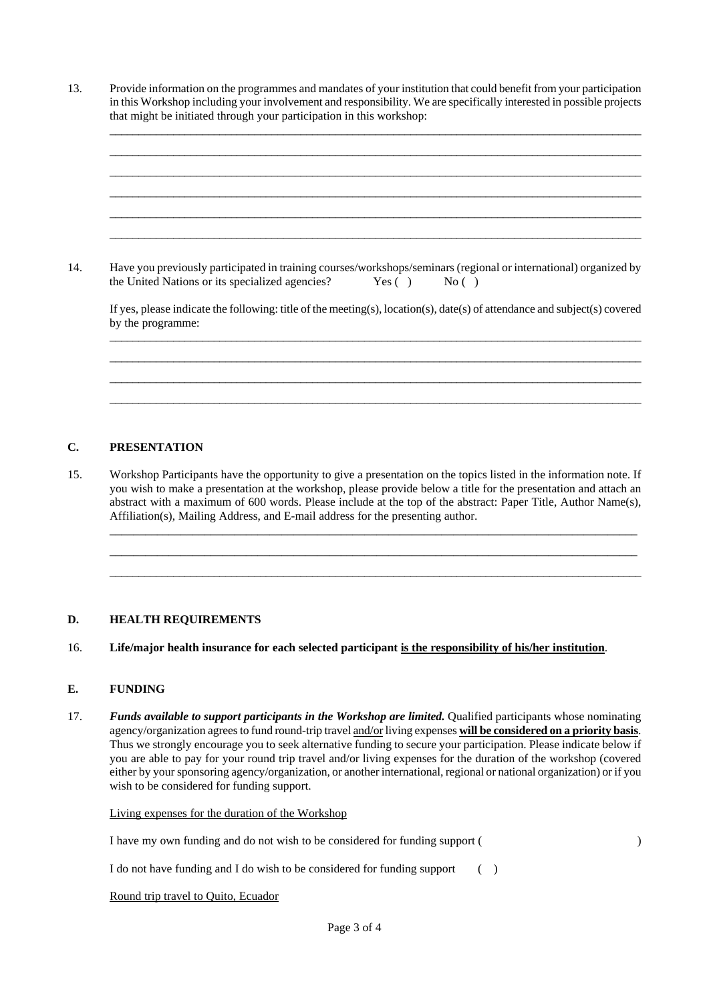13. Provide information on the programmes and mandates of your institution that could benefit from your participation in this Workshop including your involvement and responsibility. We are specifically interested in possible projects that might be initiated through your participation in this workshop:

\_\_\_\_\_\_\_\_\_\_\_\_\_\_\_\_\_\_\_\_\_\_\_\_\_\_\_\_\_\_\_\_\_\_\_\_\_\_\_\_\_\_\_\_\_\_\_\_\_\_\_\_\_\_\_\_\_\_\_\_\_\_\_\_\_\_\_\_\_\_\_\_\_\_\_\_\_\_\_\_\_\_\_\_\_\_\_\_\_\_\_\_ \_\_\_\_\_\_\_\_\_\_\_\_\_\_\_\_\_\_\_\_\_\_\_\_\_\_\_\_\_\_\_\_\_\_\_\_\_\_\_\_\_\_\_\_\_\_\_\_\_\_\_\_\_\_\_\_\_\_\_\_\_\_\_\_\_\_\_\_\_\_\_\_\_\_\_\_\_\_\_\_\_\_\_\_\_\_\_\_\_\_\_\_ \_\_\_\_\_\_\_\_\_\_\_\_\_\_\_\_\_\_\_\_\_\_\_\_\_\_\_\_\_\_\_\_\_\_\_\_\_\_\_\_\_\_\_\_\_\_\_\_\_\_\_\_\_\_\_\_\_\_\_\_\_\_\_\_\_\_\_\_\_\_\_\_\_\_\_\_\_\_\_\_\_\_\_\_\_\_\_\_\_\_\_\_ \_\_\_\_\_\_\_\_\_\_\_\_\_\_\_\_\_\_\_\_\_\_\_\_\_\_\_\_\_\_\_\_\_\_\_\_\_\_\_\_\_\_\_\_\_\_\_\_\_\_\_\_\_\_\_\_\_\_\_\_\_\_\_\_\_\_\_\_\_\_\_\_\_\_\_\_\_\_\_\_\_\_\_\_\_\_\_\_\_\_\_\_ \_\_\_\_\_\_\_\_\_\_\_\_\_\_\_\_\_\_\_\_\_\_\_\_\_\_\_\_\_\_\_\_\_\_\_\_\_\_\_\_\_\_\_\_\_\_\_\_\_\_\_\_\_\_\_\_\_\_\_\_\_\_\_\_\_\_\_\_\_\_\_\_\_\_\_\_\_\_\_\_\_\_\_\_\_\_\_\_\_\_\_\_ \_\_\_\_\_\_\_\_\_\_\_\_\_\_\_\_\_\_\_\_\_\_\_\_\_\_\_\_\_\_\_\_\_\_\_\_\_\_\_\_\_\_\_\_\_\_\_\_\_\_\_\_\_\_\_\_\_\_\_\_\_\_\_\_\_\_\_\_\_\_\_\_\_\_\_\_\_\_\_\_\_\_\_\_\_\_\_\_\_\_\_\_

14. Have you previously participated in training courses/workshops/seminars (regional or international) organized by the United Nations or its specialized agencies? Yes () No () the United Nations or its specialized agencies?  $Yes()$  No ()

If yes, please indicate the following: title of the meeting(s), location(s), date(s) of attendance and subject(s) covered by the programme: \_\_\_\_\_\_\_\_\_\_\_\_\_\_\_\_\_\_\_\_\_\_\_\_\_\_\_\_\_\_\_\_\_\_\_\_\_\_\_\_\_\_\_\_\_\_\_\_\_\_\_\_\_\_\_\_\_\_\_\_\_\_\_\_\_\_\_\_\_\_\_\_\_\_\_\_\_\_\_\_\_\_\_\_\_\_\_\_\_\_\_\_

\_\_\_\_\_\_\_\_\_\_\_\_\_\_\_\_\_\_\_\_\_\_\_\_\_\_\_\_\_\_\_\_\_\_\_\_\_\_\_\_\_\_\_\_\_\_\_\_\_\_\_\_\_\_\_\_\_\_\_\_\_\_\_\_\_\_\_\_\_\_\_\_\_\_\_\_\_\_\_\_\_\_\_\_\_\_\_\_\_\_\_\_ \_\_\_\_\_\_\_\_\_\_\_\_\_\_\_\_\_\_\_\_\_\_\_\_\_\_\_\_\_\_\_\_\_\_\_\_\_\_\_\_\_\_\_\_\_\_\_\_\_\_\_\_\_\_\_\_\_\_\_\_\_\_\_\_\_\_\_\_\_\_\_\_\_\_\_\_\_\_\_\_\_\_\_\_\_\_\_\_\_\_\_\_ \_\_\_\_\_\_\_\_\_\_\_\_\_\_\_\_\_\_\_\_\_\_\_\_\_\_\_\_\_\_\_\_\_\_\_\_\_\_\_\_\_\_\_\_\_\_\_\_\_\_\_\_\_\_\_\_\_\_\_\_\_\_\_\_\_\_\_\_\_\_\_\_\_\_\_\_\_\_\_\_\_\_\_\_\_\_\_\_\_\_\_\_

## **C. PRESENTATION**

15. Workshop Participants have the opportunity to give a presentation on the topics listed in the information note. If you wish to make a presentation at the workshop, please provide below a title for the presentation and attach an abstract with a maximum of 600 words. Please include at the top of the abstract: Paper Title, Author Name(s), Affiliation(s), Mailing Address, and E-mail address for the presenting author.

\_\_\_\_\_\_\_\_\_\_\_\_\_\_\_\_\_\_\_\_\_\_\_\_\_\_\_\_\_\_\_\_\_\_\_\_\_\_\_\_\_\_\_\_\_\_\_\_\_\_\_\_\_\_\_\_\_\_\_\_\_\_\_\_\_\_\_\_\_\_\_\_\_\_\_\_\_\_\_\_\_\_\_\_\_\_\_\_\_ \_\_\_\_\_\_\_\_\_\_\_\_\_\_\_\_\_\_\_\_\_\_\_\_\_\_\_\_\_\_\_\_\_\_\_\_\_\_\_\_\_\_\_\_\_\_\_\_\_\_\_\_\_\_\_\_\_\_\_\_\_\_\_\_\_\_\_\_\_\_\_\_\_\_\_\_\_\_\_\_\_\_\_\_\_\_\_\_\_ \_\_\_\_\_\_\_\_\_\_\_\_\_\_\_\_\_\_\_\_\_\_\_\_\_\_\_\_\_\_\_\_\_\_\_\_\_\_\_\_\_\_\_\_\_\_\_\_\_\_\_\_\_\_\_\_\_\_\_\_\_\_\_\_\_\_\_\_\_\_\_\_\_\_\_\_\_\_\_\_\_\_\_\_\_\_\_\_\_\_\_\_

## **D. HEALTH REQUIREMENTS**

16. **Life/major health insurance for each selected participant is the responsibility of his/her institution**.

## **E. FUNDING**

17. *Funds available to support participants in the Workshop are limited.* Qualified participants whose nominating agency/organization agrees to fund round-trip travel and/or living expenses **will be considered on a priority basis**. Thus we strongly encourage you to seek alternative funding to secure your participation. Please indicate below if you are able to pay for your round trip travel and/or living expenses for the duration of the workshop (covered either by your sponsoring agency/organization, or another international, regional or national organization) or if you wish to be considered for funding support.

Living expenses for the duration of the Workshop

I have my own funding and do not wish to be considered for funding support ( )

I do not have funding and I do wish to be considered for funding support  $\qquad \qquad$  ()

Round trip travel to Quito, Ecuador